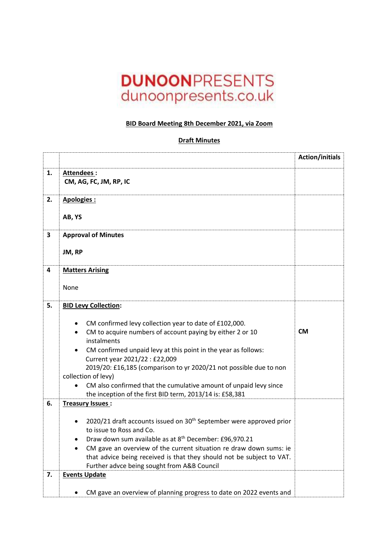## **DUNOONPRESENTS** dunoonpresents.co.uk

## **BID Board Meeting 8th December 2021, via Zoom**

## **Draft Minutes**

|                         |                                                                                                                               | <b>Action/initials</b> |
|-------------------------|-------------------------------------------------------------------------------------------------------------------------------|------------------------|
| 1.                      | Attendees:<br>CM, AG, FC, JM, RP, IC                                                                                          |                        |
| 2.                      | Apologies:                                                                                                                    |                        |
|                         | AB, YS                                                                                                                        |                        |
| $\overline{\mathbf{3}}$ | <b>Approval of Minutes</b>                                                                                                    |                        |
|                         | JM, RP                                                                                                                        |                        |
| 4                       | <b>Matters Arising</b>                                                                                                        |                        |
|                         | None                                                                                                                          |                        |
| 5.                      | <b>BID Levy Collection:</b>                                                                                                   |                        |
|                         | CM confirmed levy collection year to date of £102,000.                                                                        |                        |
|                         | CM to acquire numbers of account paying by either 2 or 10                                                                     | <b>CM</b>              |
|                         | instalments<br>CM confirmed unpaid levy at this point in the year as follows:<br>$\bullet$                                    |                        |
|                         | Current year 2021/22 : £22,009                                                                                                |                        |
|                         | 2019/20: £16,185 (comparison to yr 2020/21 not possible due to non<br>collection of levy)                                     |                        |
|                         | CM also confirmed that the cumulative amount of unpaid levy since<br>the inception of the first BID term, 2013/14 is: £58,381 |                        |
| 6.                      | Treasury Issues:                                                                                                              |                        |
|                         | 2020/21 draft accounts issued on 30 <sup>th</sup> September were approved prior<br>٠                                          |                        |
|                         | to issue to Ross and Co.<br>Draw down sum available as at 8 <sup>th</sup> December: £96,970.21                                |                        |
|                         | CM gave an overview of the current situation re draw down sums: ie                                                            |                        |
|                         | that advice being received is that they should not be subject to VAT.                                                         |                        |
|                         | Further advce being sought from A&B Council                                                                                   |                        |
| 7.                      | <b>Events Update</b>                                                                                                          |                        |
|                         | CM gave an overview of planning progress to date on 2022 events and                                                           |                        |